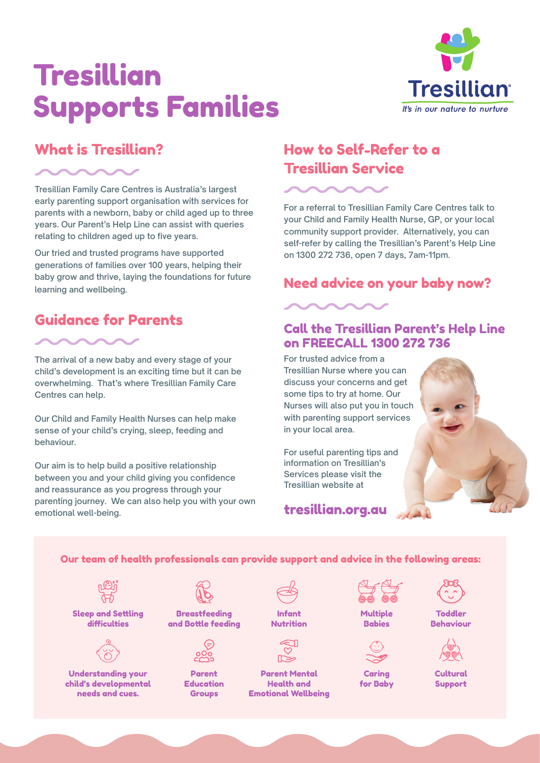# Tresillian Supports Families



### What is Tresillian?

Tresillian Family Care Centres is Australia's largest early parenting support organisation with services for parents with a newborn, baby or child aged up to three years. Our Parent's Help Line can assist with queries relating to children aged up to five years.

Our tried and trusted programs have supported generations of families over 100 years, helping their baby grow and thrive, laying the foundations for future learning and wellbeing.

# Guidance for Parents



The arrival of a new baby and every stage of your child's development is an exciting time but it can be overwhelming. That's where Tresillian Family Care Centres can help.

Our Child and Family Health Nurses can help make sense of your child's crying, sleep, feeding and behaviour.

Our aim is to help build a positive relationship between you and your child giving you confidence and reassurance as you progress through your parenting journey. We can also help you with your own emotional well-being.

### How to Self-Refer to a Tresillian Service

For a referral to Tresillian Family Care Centres talk to your Child and Family Health Nurse, GP, or your local community support provider. Alternatively, you can self-refer by calling the Tresillian's Parent's Help Line on 1300 272 736, open 7 days, 7am-11pm.

### Need advice on your baby now?



### Call the Tresillian Parent's Help Line on FREECALL 1300 272 736

For trusted advice from a Tresillian Nurse where you can discuss your concerns and get some tips to try at home. Our Nurses will also put you in touch with parenting support services in your local area.

For useful parenting tips and information on Tresillian's Services please visit the Tresillian website at



tresillian.org.au

Our team of health professionals can provide support and advice in the following areas:

Sleep and Settling difficulties



Understanding your child's developmental needs and cues.



**Breastfeeding** and Bottle feeding



Parent Education Groups

| Infant    |
|-----------|
| Nutrition |





**Multiple** Babies



Caring for Baby



Toddler Behaviour



Cultural Support